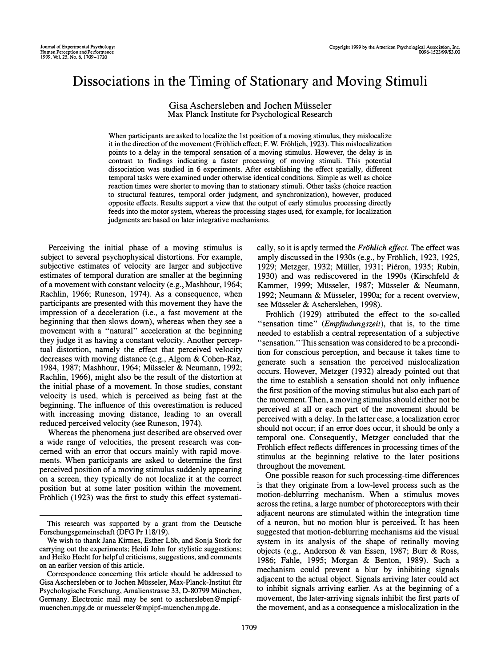# Dissociations in the Timing of Stationary and Moving Stimuli

Gisa Aschersleben and lochen Miisseler Max Planck Institute for Psychological Research

When participants are asked to localize the 1st position of a moving stimulus, they mislocalize it in the direction of the movement (Frohlich effect; F. W. Frohlich, 1923). This mislocalization points to a delay in the temporal sensation of a moving stimulus, However, the delay is in contrast to findings indicating a faster processing of moving stimuli. This potential dissociation was studied in 6 experiments, After establishing the effect spatially, different temporal tasks were examined under otherwise identical conditions. Simple as well as choice reaction times were shorter to moving than to stationary stimuli. Other tasks (choice reaction to structural features, temporal order judgment, and synchronization), however, produced opposite effects. Results support a view that the output of early stimulus processing directly feeds into the motor system, whereas the processing stages used, for example, for localization judgments are based on later integrative mechanisms,

Perceiving the initial phase of a moving stimulus is subject to several psychophysical distortions\_ For example, subjective estimates of velocity are larger and subjective estimates of temporal duration are smaller at the beginning of a movement with constant velocity (e.g., Mashhour, 1964; Rachlin, 1966; Runeson, 1974). As a consequence, when participants are presented with this movement they have the impression of a deceleration (i.e., a fast movement at the beginning that then slows down), whereas when they see a movement with a "natural" acceleration at the beginning they judge it as having a constant velocity. Another perceptual distortion, namely the effect that perceived velocity decreases with moving distance (e.g., Algom & Cohen-Raz, 1984, 1987; Mashhour, 1964; Miisseler & Neumann, 1992; Rachlin, 1966), might also be the result of the distortion at the initial phase of a movement. In those studies, constant velocity is used, which is perceived as being fast at the beginning. The influence of this overestimation is reduced with increasing moving distance, leading to an overall reduced perceived velocity (see Runeson, 1974).

Whereas the phenomena just described are observed over a wide range of velocities, the present research was concerned with an error that occurs mainly with rapid movements. When participants are asked to determine the first perceived position of a moving stimulus suddenly appearing on a screen, they typically do not localize it at the correct position but at some later position within the movement. Fröhlich (1923) was the first to study this effect systematically, so it is aptly termed the Fröhlich effect. The effect was amply discussed in the 1930s (e.g., by Frohlich, 1923, 1925, 1929; Metzger, 1932; Miiller, 1931; Pieron, 1935; Rubin, 1930) and was rediscovered in the 1990s (Kirschfeld & Kammer, 1999; Müsseler, 1987; Müsseler & Neumann, 1992; Neumann & Miisseler, 1990a; for a recent overview, see Miisseler & Aschersleben, 1998).

Fröhlich (1929) attributed the effect to the so-called "sensation time" (Empfindungszeit), that is, to the time needed to establish a central representation of a subjective "sensation." This sensation was considered to be a precondition for conscious perception, and because it takes time to generate such a sensation the perceived mislocalization occurs. However, Metzger (1932) already pointed out that the time to establish a sensation should not only influence the first position of the moving stimulus but also each part of the movement. Then, a moving stimulus should either not be perceived at all or each part of the movement should be perceived with a delay. In the latter case, a localization error should not occur; if an error does occur, it should be only a temporal one. Consequently, Metzger concluded that the Frohlich effect reflects differences in processing times of the stimulus at the beginning relative to the later positions throughout the movement.

One possible reason for such processing-time differences is that they originate from a low-level process such as the motion-deblurring mechanism. When a stimulus moves across the retina, a large number of photoreceptors with their adjacent neurons are stimulated within the integration time of a neuron, but no motion blur is perceived. It has been suggested that motion-deblurring mechanisms aid the visual system in its analysis of the shape of retinally moving objects (e.g., Anderson & van Essen, 1987; Burr & Ross, 1986; Fahle, 1995; Morgan & Benton, 1989). Such a mechanism could prevent a blur by inhibiting signals adjacent to the actual object. Signals arriving later could act to inhibit signals arriving earlier. As at the beginning of a movement, the later-arriving signals inhibit the first parts of the movement, and as a consequence a mislocalization in the

This research was supported by a grant from the Deutsche Forschungsgemeinschaft (DFG Pr 118/19).

We wish to thank Jana Kirmes, Esther Löb, and Sonja Stork for carrying out the experiments; Heidi John for stylistic suggestions; and Heiko Hecht for helpful criticisms, suggestions, and comments on an earlier version of this article.

Correspondence concerning this article should be addressed to Gisa Aschersleben or to Jochen Müsseler, Max-Planck-Institut für Psychologische Forschung, Amalienstrasse 33, D-80799 Miinchen, Germany. Electronic mail may be sent to aschersleben@mpipfmuenchen.mpg.de or muesseler@mpipf-muenchen.mpg.de.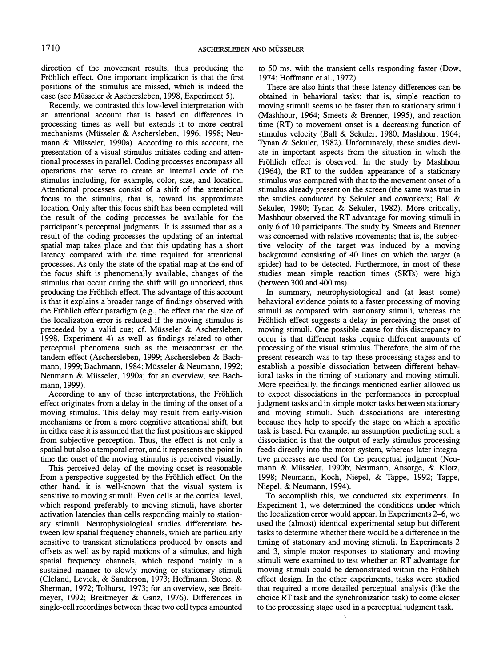direction of the movement results, thus producing the Fröhlich effect. One important implication is that the first positions of the stimulus are missed, which is indeed the case (see Miisseler & Aschersleben, 1998, Experiment 5).

Recently, we contrasted this low-level interpretation with an attentional account that is based on differences in processing times as well but extends it to more central mechanisms (Miisseler & Aschersleben, 1996, 1998; Neumann & Miisseler, 1990a). According to this account, the presentation of a visual stimulus initiates coding and attentional processes in parallel. Coding processes encompass all operations that serve to create an internal code of the stimulus including, for example, color, size, and location. Attentional processes consist of a shift of the attentional focus to the stimulus, that is, toward its approximate location. Only after this focus shift has been completed will the result of the coding processes be available for the participant's perceptual judgments. It is assumed that as a result of the coding processes the updating of an internal spatial map takes place and that this updating has a short latency compared with the time required for attentional processes. As only the state of the spatial map at the end of the focus shift is phenomenally available, changes of the stimulus that occur during the shift will go unnoticed, thus producing the Frohlich effect. The advantage of this account is that it explains a broader range of findings observed with the Frohlich effect paradigm (e.g., the effect that the size of the localization error is reduced if the moving stimulus is preceeded by a valid cue; cf. Miisseler & Aschersleben, 1998, Experiment 4) as well as findings related to other perceptual phenomena such as the metacontrast or the tandem effect (Aschersleben, 1999; Aschersleben & Bachmann, 1999; Bachmann, 1984; Miisseler & Neumann, 1992; Neumann & Miisseler, 1990a; for an overview, see Bachmann, 1999).

According to any of these interpretations, the Frohlich effect originates from a delay in the timing of the onset of a moving stimulus. This delay may result from early-vision mechanisms or from a more cognitive attentional shift, but in either case it is assumed that the first positions are skipped from subjective perception. Thus, the effect is not only a spatial but also a temporal error, and it represents the point in time the onset of the moving stimulus is perceived visually.

This perceived delay of the moving onset is reasonable from a perspective suggested by the Frohlich effect. On the other hand, it is well-known that the visual system is sensitive to moving stimuli. Even cells at the cortical level, which respond preferably to moving stimuli, have shorter activation latencies than cells responding mainly to stationary stimuli. Neurophysiological studies differentiate between low spatial frequency channels, which are particularly sensitive to transient stimulations produced by onsets and offsets as well as by rapid motions of a stimulus, and high spatial frequency channels, which respond mainly in a sustained manner to slowly moving or stationary stimuli (Cleland, Levick, & Sanderson, 1973; Hoffmann, Stone, & Sherman, 1972; Tolhurst, 1973; for an overview, see Breitmeyer, 1992; Breitmeyer & Ganz, 1976). Differences in single-cell recordings between these two cell types amounted

to 50 ms, with the transient cells responding faster (Dow, 1974; Hoffmann et al., 1972).

There are also hints that these latency differences can be obtained in behavioral tasks; that is, simple reaction to moving stimuli seems to be faster than to stationary stimuli (Mashhour, 1964; Smeets & Brenner, 1995), and reaction time (RT) to movement onset is a decreasing function of stimulus velocity (Ball & Sekuler, 1980; Mashhour, 1964; Tynan & Sekuler, 1982). Unfortunately, these studies deviate in important aspects from the situation in which the Fröhlich effect is observed: In the study by Mashhour (1964), the RT to the sudden appearance of a stationary stimulus was compared with that to the movement onset of a stimulus already present on the screen (the same was true in the studies conducted by Sekuler and coworkers; Ball & Sekuler, 1980; Tynan & Sekuler, 1982). More critically, Mashhour observed the RT advantage for moving stimuli in only 6 of 10 participants. The study by Smeets and Brenner was concerned with relative movements; that is, the subjective velocity of the target was induced by a moving background. consisting of 40 lines on which the target (a spider) had to be detected. Furthermore, in most of these studies mean simple reaction times (SRTs) were high (between 300 and 400 ms).

In summary, neurophysiological and (at least some) behavioral evidence points to a faster processing of moving stimuli as compared with stationary stimuli, whereas the Fröhlich effect suggests a delay in perceiving the onset of moving stimuli. One possible cause for this discrepancy to occur is that different tasks require different amounts of processing of the visual stimulus. Therefore, the aim of the present research was to tap these processing stages and to establish a possible dissociation between different behavioral tasks in the timing of stationary and moving stimuli. More specifically, the findings mentioned earlier allowed us to expect dissociations in the performances in perceptual judgment tasks and in simple motor tasks between stationary and moving stimuli. Such dissociations are interesting because they help to specify the stage on which a specific task is based. For example, an assumption predicting such a dissociation is that the output of early stimulus processing feeds directly into the motor system, whereas later integrative processes are used for the perceptual judgment (Neumann & Miisseler, 1990b; Neumann, Ansorge, & Klotz, 1998; Neumann, Koch, Niepel, & Tappe, 1992; Tappe, Niepel, & Neumann, 1994).

To accomplish this, we conducted six experiments. In Experiment 1, we determined the conditions under which the localization error would appear. In Experiments 2-6, we used the (almost) identical experimental setup but different tasks to determine whether there would be a difference in the timing of stationary and moving stimuli. In Experiments 2 and 3, simple motor responses to stationary and moving stimuli were examined to test whether an RT advantage for moving stimuli could be demonstrated within the Frohlich effect design. In the other experiments, tasks were studied that required a more detailed perceptual analysis (like the choice RT task and the synchronization task) to come closer to the processing stage used in a perceptual judgment task.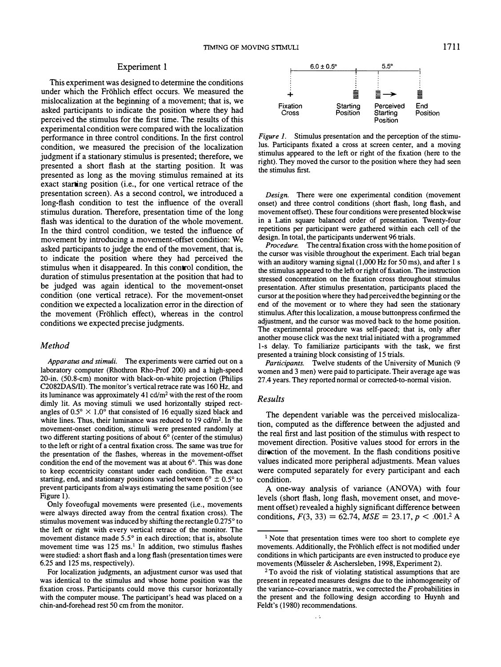## Experiment 1

This experiment was designed to determine the conditions under which the Fröhlich effect occurs. We measured the mislocalization at the beginning of a movement; that is, we asked participants to indicate the position where they had perceived the stimulus for the first time. The results of this experimental condition were compared with the localization performance in three control conditions. In the first control condition, we measured the precision of the localization judgment if a stationary stimulus is presented; therefore, we presented a short flash at the starting position. It was presented as long as the moving stimulus remained at its exact starting position (i.e., for one vertical retrace of the presentation screen). As a second control, we introduced a long-flash condition to test the influence of the overall stimulus duration. Therefore, presentation time of the long flash was identical to the duration of the whole movement. In the third control condition, we tested the influence of movement by introducing a movement-offset condition: We asked participants to judge the end of the movement, that is, to indicate the position where they had perceived the stimulus when it disappeared. In this control condition, the duration of stimulus presentation at the position that had to be judged was again identical to the movement-onset condition (one vertical retrace). For the movement-onset condition we expected a localization error in the direction of the movement (Fröhlich effect), whereas in the control conditions we expected precise judgments.

## Method

Apparatus and stimuli. The experiments were carried out on a laboratory computer (Rhothron Rho-Prof 200) and a high-speed 20-in. (50.8-cm) monitor with black-on-white projection (Philips C2082DASIII). The monitor's vertical retrace rate was 160 Hz, and its luminance was approximately  $41 \text{ cd/m}^2$  with the rest of the room dimly lit. As moving stimuli we used horizontally striped rectangles of  $0.5^{\circ} \times 1.0^{\circ}$  that consisted of 16 equally sized black and white lines. Thus, their luminance was reduced to  $19 \text{ cd/m}^2$ . In the movement-onset condition, stimuli were presented randomly at two different starting positions of about 6° (center of the stimulus) to the left or right of a central fixation cross. The same was true for the presentation of the flashes, whereas in the movement-offset condition the end of the movement was at about 6°. This was done to keep eccentricity constant under each condition. The exact starting, end, and stationary positions varied between  $6^{\circ} \pm 0.5^{\circ}$  to prevent participants from always estimating the same position (see Figure 1).

Only foveofugal movements were presented (*i.e.*, movements were always directed away from the central fixation cross). The stimulus movement was induced by shifting the rectangle 0.275° to the left or right with every vertical retrace of the monitor. The movement distance made 5.5° in each direction; that is, absolute movement time was  $125 \text{ ms}$ .<sup>1</sup> In addition, two stimulus flashes were studied: a short flash and a long flash (presentation times were 6.25 and 125 ms, respectively).

For localization judgments, an adjustment cursor was used that was identical to the stimulus and whose home position was the fixation cross. Participants could move this cursor horizontally with the computer mouse. The participant's head was placed on a chin-and-forehead rest 50 cm from the monitor.



Figure 1. Stimulus presentation and the perception of the stimulus. Participants fixated a cross at screen center, and a moving stimulus appeared to the left or right of the fixation (here to the right). They moved the cursor to the position where they had seen the stimulus first.

Design. There were one experimental condition (movement onset) and three control conditions (short flash, long flash, and movement offset). These four conditions were presented blockwise in a Latin square balanced order of presentation. Twenty-four repetitions per participant were gathered within each cell of the design. In total, the participants underwent 96 trials.

Procedure. The central fixation cross with the home position of the cursor was visible throughout the experiment. Each trial began with an auditory warning signal (1,000 Hz for 50 ms), and after 1 s the stimulus appeared to the left or right of fixation. The instruction stressed concentration on the fixation cross throughout stimulus presentation. After stimulus presentation, participants placed the cursor at the position where they had perceived the beginning or the end of the movement or to where they had seen the stationary stimulus. After this localization, a mouse buttonpress confirmed the adjustment, and the cursor was moved back to the home position. The experimental procedure was self-paced; that is, only after another mouse click was the next trial initiated with a programmed l-s delay. To familiarize participants with the task, we first presented a training block consisting of 15 trials.

Participants. Twelve students of the University of Munich (9 women and 3 men) were paid to participate. Their average age was 27.4 years. They reported normal or corrected-to-normal vision.

## Results

The dependent variable was the perceived mislocalization, computed as the difference between the adjusted and the real first and last position of the stimulus with respect to movement direction. Positive values stood for errors in the direction of the movement. In the flash conditions positive values indicated more peripheral adjustments. Mean values were computed separately for every participant and each condition.

A one-way analysis of variance (ANOVA) with four levels (short flash, long flash, movement onset, and movement offset) revealed a highly significant difference between conditions,  $F(3, 33) = 62.74$ ,  $MSE = 23.17$ ,  $p < .001.2$  A

<sup>&</sup>lt;sup>1</sup> Note that presentation times were too short to complete eye movements. Additionally, the Frohlich effect is not modified under conditions in which participants are even instructed to produce eye movements (Miisseler & Aschersleben, 1998, Experiment 2).

<sup>2</sup> To avoid the risk of violating statistical assumptions that are present in repeated measures designs due to the inhomogeneity of the variance-covariance matrix, we corrected the  $F$  probabilities in the present and the following design according to Huynh and Feldt's (1980) recommendations.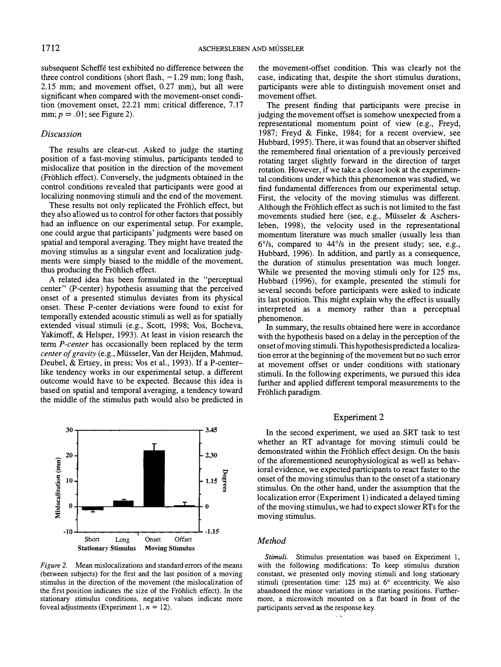subsequent Scheffe test exhibited no difference between the three control conditions (short flash,  $-1.29$  mm; long flash,  $2.15$  mm; and movement offset,  $0.27$  mm), but all were significant when compared with the movement-onset condition (movement onset, 22.21 mm; critical difference, 7.17 mm;  $p = .01$ ; see Figure 2).

## Discussion

The results are clear-cut. Asked to judge the starting position of a fast-moving stimulus, participants tended to mislocalize that position in the direction of the movement (Frohlich effect). Conversely, the judgments obtained in the control conditions revealed that participants were good at localizing nonmoving stimuli and the end of the movement.

These results not only replicated the Frohlich effect, but they also allowed us to control for other factors that possibly had an influence on our experimental setup. For example, one could argue that participants' judgments were based on spatial and temporal averaging. They might have treated the moving stimulus as a singular event and localization judgments were simply biased to the middle of the movement, thus producing the Frohlich effect.

A related idea has been formulated in the "perceptual center" (P-center) hypothesis assuming that the perceived onset of a presented stimulus deviates from its physical onset. These P-center deviations were found to exist for temporally extended acoustic stimuli as well as for spatially extended visual stimuli (e.g., Scott, 1998; Vos, Bocheva, Yakimoff, & Helsper, 1993). At least in vision research the term *P-center* has occasionally been replaced by the term center of gravity (e.g., Miisseler, Van der Heijden, Mahmud, Deubel, & Ertsey, in press; Vos et al., 1993). If a P-centerlike tendency works in our experimental setup. a different outcome would have to be expected. Because this idea is based on spatial and temporal averaging, a tendency toward the middle of the stimulus path would also be predicted in



Figure 2. Mean mislocalizations and standard errors of the means (between subjects) for the first and the last position of a moving stimulus in the direction of the movement (the mislocalization of the first position indicates the size of the Frohlich effect). In the stationary stimulus conditions, negative values indicate more foveal adjustments (Experiment 1,  $n = 12$ ).

the movement-offset condition. This was clearly not the case, indicating that, despite the short stimulus durations, participants were able to distinguish movement onset and movement offset.

The present finding that participants were precise in judging the movement offset is somehow unexpected from a representational momentum point of view (e.g., Freyd, 1987; Freyd & Finke, 1984; for a recent overview, see Hubbard, 1995). There, it was found that an observer shifted the remembered final orientation of a previously perceived rotating target slightly forward in the direction of target rotation. However, if we take a closer look at the experimental conditions under which this phenomenon was studied, we find fundamental differences from our experimental setup. First, the velocity of the moving stimulus was different. Although the Frohlich effect as such is not limited to the fast movements studied here (see, e.g., Miisseler & Aschersleben, 1998), the velocity used in the representational momentum literature was much smaller (usually less than 6°/s, compared to 44°/s in the present study; see, e.g., Hubbard, 1996). In addition, and partly as a consequence, the duration of stimulus presentation was much longer. While we presented the moving stimuli only for 125 ms, Hubbard (1996), for example, presented the stimuli for several seconds before participants were asked to indicate its last position. This might explain why the effect is usually interpreted as a memory rather than a perceptual phenomenon.

In summary, the results obtained here were in accordance with the hypothesis based on a delay in the perception of the onset of moving stimuli. This hypothesis predicted a localization error at the beginning of the movement but no such error at movement offset or under conditions with stationary stimuli. In the following experiments, we pursued this idea further and applied different temporal measurements to the Frohlich paradigm.

## Experiment 2

In the second experiment, we used an SRT task to test whether an RT advantage for moving stimuli could be demonstrated within the Frohlich effect design. On the basis of the aforementioned neurophysiological as well as behavioral evidence, we expected participants to react faster to the onset of the moving stimulus than to the onset of a stationary stimulus. On the other hand, under the assumption that the localization error (Experiment 1) indicated a delayed timing of the moving stimulus, we had to expect slower RTs for the moving stimulus.

## **Method**

Stimuli. Stimulus presentation was based on Experiment 1, with the following modifications: To keep stimulus duration constant, we presented only moving stimuli and long stationary stimuli (presentation time: 125 ms) at 6° eccentricity. We also abandoned the minor variations in the starting positions. Furthermore, a microswitch mounted on a flat board in front of the participants served as the response key.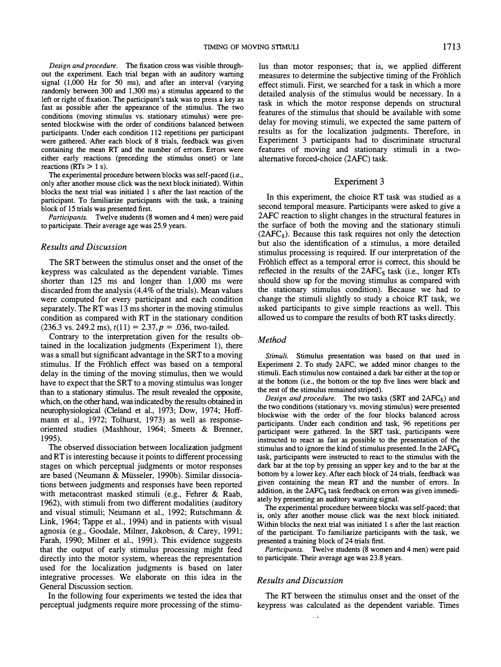Design and procedure. The fixation cross was visible throughout the experiment. Each trial began with an auditory warning signal (1,000 Hz for 50 ms), and after an interval (varying randomly between 300 and 1,300 ms) a stimulus appeared to the left or right of fixation. The participant's task was to press a key as fast as possible after the appearance of the stimulus. The two conditions (moving stimulus vs. stationary stimulus) were presented blockwise with the order of conditions balanced between participants. Under each condition 112 repetitions per participant were gathered. After each block of 8 trials, feedback was given containing the mean RT and the number of errors. Errors were either early reactions (preceding the stimulus onset) or late reactions ( $RTs > 1$  s).

The experimental procedure between blocks was self-paced (i.e., only after another mouse click was the next block initiated). Within blocks the next trial was initiated 1 s after the last reaction of the participant. To familiarize participants with the task, a training block of 15 trials was presented first.

Participants. Twelve students (8 women and 4 men) were paid to participate. Their average age was 25.9 years.

#### Results and Discussion

The SRT between the stimulus onset and the onset of the keypress was calculated as the dependent variable. Times shorter than 125 ms and longer than 1,000 ms were discarded from the analysis (4.4% of the trials). Mean values were computed for every participant and each condition separately. The RT was l3 ms shorter in the moving stimulus condition as compared with RT in the stationary condition  $(236.3 \text{ vs. } 249.2 \text{ ms}), t(11) = 2.37, p = .036, \text{ two-tailed.}$ 

Contrary to the interpretation given for the results obtained in the localization judgments (Experiment 1), there was a small but significant advantage in the SRT to a moving stimulus. If the Frohlich effect was based on a temporal delay in the timing of the moving stimulus, then we would have to expect that the SRT to a moving stimulus was longer than to a stationary stimulus. The result revealed the opposite, which, on the other hand, was indicated by the results obtained in neurophysiological (Cleland et al., 1973; Dow, 1974; Hoffmann et al., 1972; Tolhurst, 1973) as well as responseoriented studies (Mashhour, 1964; Smeets & Brenner, 1995).

The observed dissociation between localization judgment and RT is interesting because it points to different processing stages on which perceptual judgments or motor responses are based (Neumann & Müsseler, 1990b). Similar dissociations between judgments and responses have been reported with metacontrast masked stimuli (e.g., Fehrer & Raab, 1962), with stimuli from two different modalities (auditory and visual stimuli; Neumann et al., 1992; Rutschmann & Link, 1964; Tappe et al., 1994) and in patients with visual agnosia (e.g., Goodale, Milner, Jakobson, & Carey, 1991; Farah, 1990; Milner et al., 1991). This evidence suggests that the output of early stimulus processing might feed directly into the motor system, whereas the representation used for the localization judgments is based on later integrative processes. We elaborate on this idea in the General Discussion section.

In the following four experiments we tested the idea that perceptual judgments require more processing of the stimuIus than motor responses; that is, we applied different measures to determine the subjective timing of the Frohlich effect stimuli. First, we searched for a task in which a more detailed analysis of the stimulus would be necessary. In a task in which the motor response depends on structural features of the stimulus that should be available with some delay for moving stimuli, we expected the same pattern of results as for the localization judgments. Therefore, in Experiment 3 participants had to discriminate structural features of moving and stationary stimuli in a twoalternative forced-choice (2AFC) task.

#### Experiment 3

In this experiment, the choice RT task was studied as a second temporal measure. Participants were asked to give a 2AFC reaction to slight changes in the structural features in the surface of both the moving and the stationary stimuli  $(2AFC<sub>s</sub>)$ . Because this task requires not only the detection but also the identification of a stimulus, a more detailed stimulus processing is required. If our interpretation of the Fröhlich effect as a temporal error is correct, this should be reflected in the results of the  $2AFC<sub>S</sub>$  task (i.e., longer RTs should show up for the moving stimulus as compared with the stationary stimulus condition). Because we had to change the stimuli slightly to study a choice RT task, we asked participants to give simple reactions as well. This allowed us to compare the results of both RT tasks directly.

#### Method

Stimuli. Stimulus presentation was based on that used in Experiment 2. To study 2AFC, we added minor changes to the stimuli. Each stimulus now contained a dark bar either at the top or at the bottom (i.e., the bottom or the top five lines were black and the rest of the stimulus remained striped).

Design and procedure. The two tasks (SRT and  $2AFC_s$ ) and the two conditions (stationary vs. moving stimulus) were presented blockwise with the order of the four blocks balanced across participants. Under each condition and task, 96 repetitions per participant were gathered. In the SRT task, participants were instructed to react as fast as possible to the presentation of the stimulus and to ignore the kind of stimulus presented. In the  $2AFC_s$ task, participants were instructed to react to the stimulus with the dark bar at the top by pressing an upper key and to the bar at the bottom by a lower key. After each block of 24 trials, feedback was given containing the mean RT and the number of errors. In addition, in the  $2AFC<sub>s</sub>$  task feedback on errors was given immediately by presenting an auditory warning signal.

The experimental procedure between blocks was self-paced; that is, only after another mouse click was the next block initiated. Within blocks the next trial was initiated 1 s after the last reaction of the participant. To familiarize participants with the task, we presented a training block of 24 trials first.

Participants. Twelve students (8 women and 4 men) were paid to participate. Their average age was 23.8 years.

## Results and Discussion

 $\ddot{\phantom{0}}$ 

The RT between the stimulus onset and the onset of the keypress was calculated as the dependent variable. Times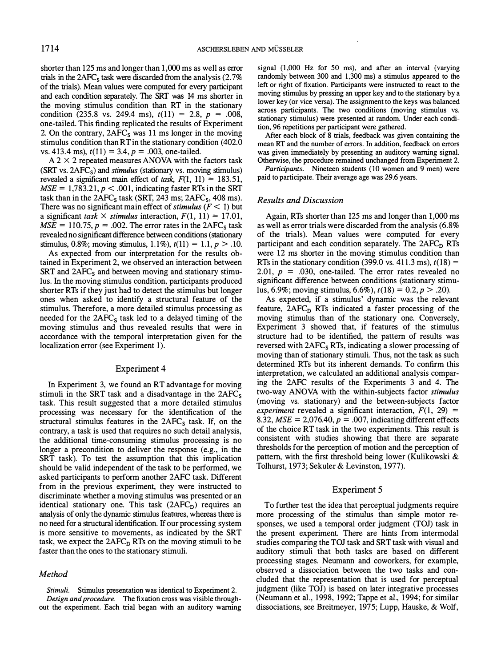shorter than 125 ms and longer than 1,000 ms as well as error trials in the  $2AFC<sub>s</sub>$  task were discarded from the analysis (2.7%) of the trials). Mean values were computed for every participant and each condition separately. The SRT was 14 ms shorter in the moving stimulus condition than RT in the stationary condition (235.8 vs. 249.4 ms),  $t(11) = 2.8$ ,  $p = .008$ , one-tailed. This finding replicated the results of Experiment 2. On the contrary,  $2AFC<sub>s</sub>$  was 11 ms longer in the moving stimulus condition than RT in the stationary condition (402.0 vs. 413.4 ms),  $t(11) = 3.4$ ,  $p = .003$ , one-tailed.

 $A$  2  $\times$  2 repeated measures ANOVA with the factors task (SRT vs.  $2AFC<sub>S</sub>$ ) and *stimulus* (stationary vs. moving stimulus) revealed a significant main effect of task,  $F(1, 11) = 183.51$ ,  $MSE = 1,783.21, p < .001$ , indicating faster RTs in the SRT task than in the  $2AFC<sub>s</sub>$  task (SRT, 243 ms;  $2AFC<sub>s</sub>$ , 408 ms). There was no significant main effect of *stimulus* ( $F < 1$ ) but a significant task  $\times$  stimulus interaction,  $F(1, 11) = 17.01$ ,  $MSE = 110.75$ ,  $p = .002$ . The error rates in the 2AFC<sub>s</sub> task revealed no significant difference between conditions (stationary stimulus, 0.8%; moving stimulus, 1.1%),  $t(11) = 1.1$ ,  $p > .10$ .

As expected from our interpretation for the results obtained in Experiment 2, we observed an interaction between  $SRT$  and  $2AFC<sub>s</sub>$  and between moving and stationary stimulus. In the moving stimulus condition, participants produced shorter RTs if they just had to detect the stimulus but longer ones when asked to identify a structural feature of the stimulus. Therefore, a more detailed stimulus processing as needed for the  $2AFC<sub>s</sub>$  task led to a delayed timing of the moving stimulus and thus revealed results that were in accordance with the temporal interpretation given for the localization error (see Experiment 1).

## Experiment 4

In Experiment 3, we found an RT advantage for moving stimuli in the SRT task and a disadvantage in the  $2AFC<sub>s</sub>$ task. This result suggested that a more detailed stimulus processing was necessary for the identification of the structural stimulus features in the  $2AFC<sub>s</sub>$  task. If, on the contrary, a task is used that requires no such detail analysis, the additional time-consuming stimulus processing is no longer a precondition to deliver the response (e.g., in the SRT task). To test the assumption that this implication should be valid independent of the task to be performed, we asked participants to perform another 2AFC task. Different from in the previous experiment, they were instructed to discriminate whether a moving stimulus was presented or an identical stationary one. This task  $(2AFC<sub>D</sub>)$  requires an analysis of only the dynamic stimulus features, whereas there is no need for a structural identification. If our processing system is more sensitive to movements, as indicated by the SRT task, we expect the  $2AFC<sub>D</sub> RTs$  on the moving stimuli to be faster than the ones to the stationary stimuli.

## Method

Stimuli. Stimulus presentation was identical to Experiment 2. Design and procedure. The fixation cross was visible throughout the experiment. Each trial began with an auditory warning signal (1,000 Hz for 50 ms), and after an interval (varying randomly between 300 and 1,300 ms) a stimulus appeared to the left or right of fixation. Participants were instructed to react to the moving stimulus by pressing an upper key and to the stationary by a lower key (or vice versa). The assignment to the keys was balanced across participants. The two conditions (moving stimulus vs. stationary stimulus) were presented at random. Under each condition, 96 repetitions per participant were gathered.

After each block of 8 trials, feedback was given containing the mean RT and the number of errors. In addition, feedback on errors was given immediately by presenting an auditory warning signal. Otherwise, the procedure remained unchanged from Experiment 2.

Participants. Nineteen students (10 women and 9 men) were paid to participate. Their average age was 29.6 years.

#### Results and Discussion

Again, RTs shorter than 125 ms and longer than 1,000 ms as well as error trials were discarded from the analysis (6.8% of the trials). Mean values were computed for every participant and each condition separately. The  $2AFC<sub>D</sub> RTs$ were 12 ms shorter in the moving stimulus condition than RTs in the stationary condition (399.0 vs. 411.3 ms),  $t(18) =$ 2.01,  $p = .030$ , one-tailed. The error rates revealed no significant difference between conditions (stationary stimulus, 6.9%; moving stimulus, 6.6%),  $t(18) = 0.2$ ,  $p > .20$ ).

As expected, if a stimulus' dynamic was the relevant feature,  $2AFC<sub>D</sub> RTs$  indicated a faster processing of the moving stimulus than of the stationary one. Conversely, Experiment 3 showed that, if features of the stimulus structure had to be identified, the pattern of results was reversed with  $2AFC<sub>s</sub> RTs$ , indicating a slower processing of moving than of stationary stimuli. Thus, not the task as such determined RTs but its inherent demands. To confirm this interpretation, we calculated an additional analysis comparing the 2AFC results of the Experiments 3 and 4. The two-way ANOVA with the within-subjects factor stimulus (moving vs. stationary) and the between-subjects factor experiment revealed a significant interaction,  $F(1, 29) =$ 8.32,  $MSE = 2.076.40$ ,  $p = .007$ , indicating different effects of the choice RT task in the two experiments. This result is consistent with studies showing that there are separate thresholds for the perception of motion and the perception of pattern, with the first threshold being lower (Kulikowski & Tolhurst, 1973; Sekuler & Levinston, 1977).

## Experiment 5

To further test the idea that perceptual judgments require more processing of the stimulus than simple motor responses, we used a temporal order judgment (TOJ) task in the present experiment. There are hints from intermodal studies comparing the TOJ task and SRT task with visual and auditory stimuli that both tasks are based on different processing stages. Neumann and coworkers, for example, observed a dissociation between the two tasks and concluded that the representation that is used for perceptual judgment (like TOJ) is based on later integrative processes (Neumann et al., 1998, 1992; Tappe et al., 1994; for similar dissociations, see Breitmeyer, 1975; Lupp, Hauske, & Wolf,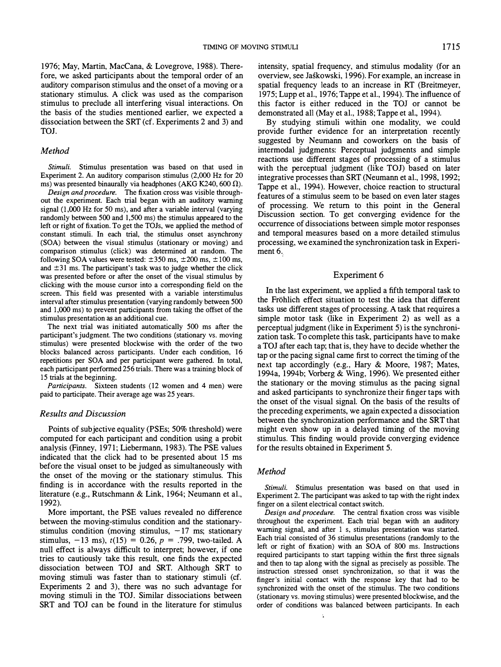1976; May, Martin, MacCana, & Lovegrove, 1988). Therefore, we asked participants about the temporal order of an auditory comparison stimulus and the onset of a moving or a stationary stimulus. A click was used as the comparison stimulus to preclude all interfering visual interactions. On the basis of the studies mentioned earlier, we expected a dissociation between the SRT (cf. Experiments 2 and 3) and TOJ.

## Method

Stimuli. Stimulus presentation was based on that used in Experiment 2. An auditory comparison stimulus (2,000 Hz for 20 ms) was presented binaurally via headphones (AKG K240, 600  $\Omega$ ).

Design and procedure. The fixation cross was visible throughout the experiment. Each trial began with an auditory warning signal (I,OOO Hz for 50 ms), and after a variable interval (varying randomly between 500 and 1,500 ms) the stimulus appeared to the left or right of fixation. To get the TOJs, we applied the method of constant stimuli. In each trial, the stimulus onset asynchrony (SOA) between the visual stimulus (stationary or moving) and comparison stimulus (click) was determined at random. The following SOA values were tested:  $\pm 350$  ms,  $\pm 200$  ms,  $\pm 100$  ms, and  $\pm$ 31 ms. The participant's task was to judge whether the click was presented before or after the onset of the visual stimulus by clicking with the mouse cursor into a corresponding field on the screen. This field was presented with a variable interstimulus interval after stimulus presentation (varying randomly between 500 and 1,000 ms) to prevent participants from taking the offset of the stimulus presentation as an additional cue.

The next trial was initiated automatically 500 ms after the participant's judgment. The two conditions (stationary vs. moving stimulus) were presented blockwise with the order of the two blocks balanced across participants. Under each condition, 16 repetitions per SOA and per participant were gathered. In total, each participant performed 256 trials. There was a training block of 15 trials at the beginning.

Participants. Sixteen students (12 women and 4 men) were paid to participate. Their average age was 25 years.

## Results and Discussion

Points of subjective equality (PSEs; 50% threshold) were computed for each participant and condition using a probit analysis (Finney, 1971; Liebermann, 1983). The PSE values indicated that the click had to be presented about 15 ms before the visual onset to be judged as simultaneously with the onset of the moving or the stationary stimulus. This finding is in accordance with the results reported in the literature (e.g., Rutschmann & Link, 1964; Neumann et al., 1 992).

More important, the PSE values revealed no difference between the moving-stimulus condition and the stationarystimulus condition (moving stimulus,  $-17$  ms; stationary stimulus,  $-13$  ms),  $t(15) = 0.26$ ,  $p = .799$ , two-tailed. A null effect is always difficult to interpret; however, if one tries to cautiously take this result, one finds the expected dissociation between TOJ and SRT. Although SRT to moving stimuli was faster than to stationary stimuli (cf. Experiments 2 and 3), there was no such advantage for moving stimuli in the TOl. Similar dissociations between SRT and TOl can be found in the literature for stimulus

intensity, spatial frequency, and stimulus modality (for an overview, see laskowski, 1996). For example, an increase in spatial frequency leads to an increase in RT (Breitmeyer, 1975; Lupp et al., 1976; Tappe et al., 1994). The influence of this factor is either reduced in the TOl or cannot be demonstrated all (May et al., 1988; Tappe et al., 1994).

By studying stimuli within one modality, we could provide further evidence for an interpretation recently suggested by Neumann and coworkers on the basis of intermodal judgments: Perceptual judgments and simple reactions use different stages of processing of a stimulus with the perceptual judgment (like TOJ) based on later integrative processes than SRT (Neumann et al., 1998, 1992; Tappe et al., 1994). However, choice reaction to structural features of a stimulus seem to be based on even later stages of processing. We return to this point in the General Discussion section. To get converging evidence for the occurrence of dissociations between simple motor responses and temporal measures based on a more detailed stimulus processing, we examined the synchronization task in Experiment 6.

#### Experiment 6

In the last experiment, we applied a fifth temporal task to the Frohlich effect situation to test the idea that different tasks use different stages of processing. A task that requires a simple motor task (like in Experiment 2) as well as a perceptual judgment (like in Experiment 5) is the synchronization task. To complete this task, participants have to make a TOl after each tap; that is, they have to decide whether the tap or the pacing signal came first to correct the timing of the next tap accordingly (e.g., Hary & Moore, 1987; Mates, 1 994a, 1 994b; Vorberg & Wing, 1 996). We presented either the stationary or the moving stimulus as the pacing signal and asked participants to synchronize their finger taps with the onset of the visual signal. On the basis of the results of the preceding experiments, we again expected a dissociation between the synchronization performance and the SRT that might even show up in a delayed timing of the moving stimulus. This finding would provide converging evidence for the results obtained in Experiment 5.

## **Method**

Stimuli. Stimulus presentation was based on that used in Experiment 2. The participant was asked to tap with the right index finger on a silent electrical contact switch.

Design and procedure. The central fixation cross was visible throughout the experiment. Each trial began with an auditory warning signal, and after 1 s, stimulus presentation was started. Each trial consisted of 36 stimulus presentations (randomly to the left or right of fixation) with an SOA of 800 ms. Instructions required participants to start tapping within the first three signals and then to tap along with the signal as precisely as possible. The instruction stressed onset synchronization, so that it was the finger's initial contact with the response key that had to be synchronized with the onset of the stimulus. The two conditions (stationary vs. moving stimulus) were presented blockwise, and the order of conditions was balanced between participants. In each

Ä.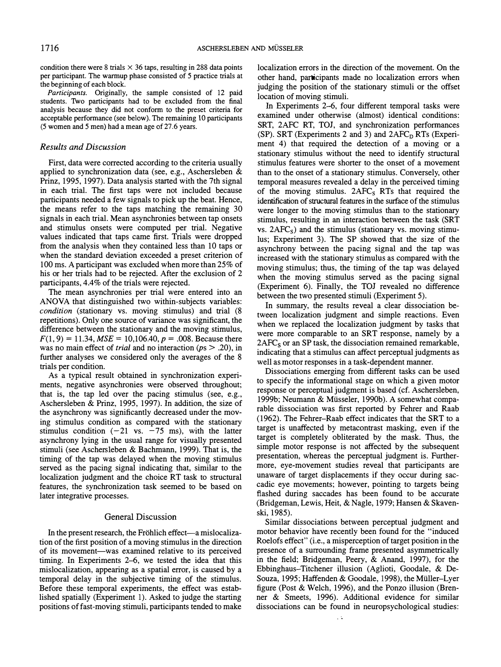condition there were 8 trials  $\times$  36 taps, resulting in 288 data points per participant. The warmup phase consisted of 5 practice trials at the beginning of each block.

Participants. Originally, the sample consisted of 12 paid students. Two participants had to be excluded from the final analysis because they did not conform to the preset criteria for acceptable performance (see below). The remaining 10 participants (5 women and 5 men) had a mean age of 27.6 years.

## Results and Discussion

First, data were corrected according to the criteria usually applied to synchronization data (see, e.g., Aschersleben & Prinz, 1995, 1997). Data analysis started with the 7th signal in each trial. The first taps were not included because participants needed a few signals to pick up the beat. Hence, the means refer to the taps matching the remaining 30 signals in each trial. Mean asynchronies between tap onsets and stimulus onsets were computed per trial. Negative values indicated that taps came first. Trials were dropped from the analysis when they contained less than 10 taps or when the standard deviation exceeded a preset criterion of 100 ms. A participant was excluded when more than 25% of his or her trials had to be rejected. After the exclusion of 2 participants, 4.4% of the trials were rejected.

The mean asynchronies per trial were entered into an ANOVA that distinguished two within-subjects variables: condition (stationary vs. moving stimulus) and trial (8 repetitions). Only one source of variance was significant, the difference between the stationary and the moving stimulus,  $F(1, 9) = 11.34, MSE = 10,106.40, p = .008. Because there$ was no main effect of *trial* and no interaction ( $ps > .20$ ), in further analyses we considered only the averages of the 8 trials per condition.

As a typical result obtained in synchronization experiments, negative asynchronies were observed throughout; that is, the tap led over the pacing stimulus (see, e.g., Aschersleben & Prinz, 1995, 1997). In addition, the size of the asynchrony was significantly decreased under the moving stimulus condition as compared with the stationary stimulus condition  $(-21 \text{ vs. } -75 \text{ ms})$ , with the latter asynchrony lying in the usual range for visually presented stimuli (see Aschers1eben & Bachmann, 1999). That is, the timing of the tap was delayed when the moving stimulus served as the pacing signal indicating that, similar to the localization judgment and the choice RT task to structural features, the synchronization task seemed to be based on later integrative processes.

#### General Discussion

In the present research, the Fröhlich effect—a mislocalization of the first position of a moving stimulus in the direction of its movement-was examined relative to its perceived timing. In Experiments 2-6, we tested the idea that this mislocalization, appearing as a spatial error, is caused by a temporal delay in the subjective timing of the stimulus. Before these temporal experiments, the effect was established spatially (Experiment 1). Asked to judge the starting positions of fast-moving stimuli, participants tended to make localization errors in the direction of the movement. On the other hand, participants made no localization errors when judging the position of the stationary stimuli or the offset location of moving stimuli.

In Experiments 2-6, four different temporal tasks were examined under otherwise (almost) identical conditions: SRT, 2AFC RT, TOl, and synchronization performances (SP). SRT (Experiments 2 and 3) and  $2AFC<sub>D</sub> RTs$  (Experiment 4) that required the detection of a moving or a stationary stimulus without the need to identify structural stimulus features were shorter to the onset of a movement than to the onset of a stationary stimulus. Conversely, other temporal measures revealed a delay in the perceived timing of the moving stimulus.  $2AFC<sub>S</sub> RTs$  that required the identification of structural features in the surface of the stimulus were longer to the moving stimulus than to the stationary stimulus, resulting in an interaction between the task (SRT vs.  $2AFC_s$ ) and the stimulus (stationary vs. moving stimulus; Experiment 3). The SP showed that the size of the asynchrony between the pacing signal and the tap was increased with the stationary stimulus as compared with the moving stimulus; thus, the timing of the tap was delayed when the moving stimulus served as the pacing signal (Experiment 6). Finally, the TOl revealed no difference between the two presented stimuli (Experiment 5).

In summary, the results reveal a clear dissociation between localization judgment and simple reactions. Even when we replaced the localization judgment by tasks that were more comparable to an SRT response, namely by a  $2AFC<sub>S</sub>$  or an SP task, the dissociation remained remarkable, indicating that a stimulus can affect perceptual judgments as well as motor responses in a task-dependent manner.

Dissociations emerging from different tasks can be used to specify the informational stage on which a given motor response or perceptual judgment is based (cf. Aschersleben, 1999b; Neumann & Miisseler, 1990b). A somewhat comparable dissociation was first reported by Fehrer and Raab (1962). The Fehrer-Raab effect indicates that the SRT to a target is unaffected by metacontrast masking, even if the target is completely obliterated by the mask. Thus, the simple motor response is not affected by the subsequent presentation, whereas the perceptual judgment is. Furthermore, eye-movement studies reveal that participants are unaware of target displacements if they occur during saccadic eye movements; however, pointing to targets being flashed during saccades has been found to be accurate (Bridgeman, Lewis, Heit, & Nagle, 1979; Hansen & Skavenski, 1985).

Similar dissociations between perceptual judgment and motor behavior have recently been found for the "induced Roelofs effect" (i.e., a misperception of target position in the presence of a surrounding frame presented asymmetrically in the field; Bridgeman, Peery, & Anand, 1997), for the Ebbinghaus-Titchener illusion (Aglioti, Goodale, & De-Souza, 1995; Haffenden & Goodale, 1998), the Miiller-Lyer figure (Post & Welch, 1996), and the Ponzo illusion (Brenner & Smeets, 1996). Additional evidence for similar dissociations can be found in neuropsychological studies: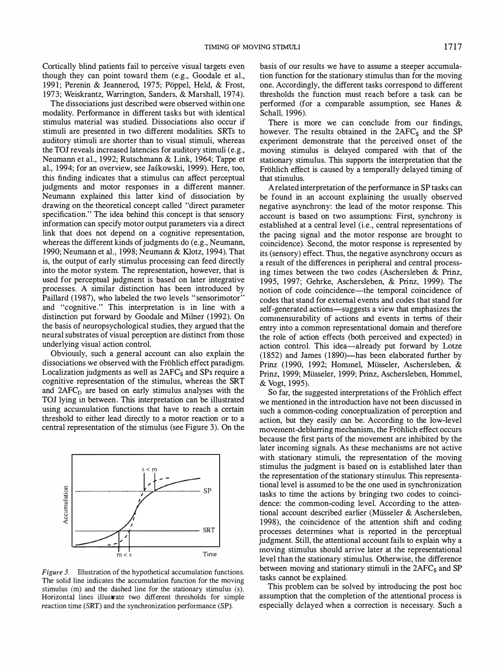Cortically blind patients fail to perceive visual targets even though they can point toward them (e.g., Goodale et aI., 1991; Perenin & Jeannerod, 1975; Poppel, Held, & Frost, 1973; Weiskrantz, Warrington, Sanders, & Marshall, 1974).

The dissociations just described were observed within one modality. Performance in different tasks but with identical stimulus material was studied. Dissociations also occur if stimuli are presented in two different modalities. SRTs to auditory stimuli are shorter than to visual stimuli, whereas the TOJ reveals increased latencies for auditory stimuli (e.g., Neumann et aI., 1992; Rutschmann & Link, 1964; Tappe et al., 1994; for an overview, see JaSkowski, 1999). Here, too, this finding indicates that a stimulus can affect perceptual judgments and motor responses in a different manner. Neumann explained this latter kind of dissociation by drawing on the theoretical concept called "direct parameter specification." The idea behind this concept is that sensory information can specify motor output parameters via a direct link that does not depend on a cognitive representation, whereas the different kinds of judgments do (e.g., Neumann, 1990; Neumann et al., 1998; Neumann & Klotz, 1994). That is, the output of early stimulus processing can feed directly into the motor system. The representation, however, that is used for perceptual judgment is based on later integrative processes. A similar distinction has been introduced by Paillard (1987), who labeled the two levels "sensorimotor" and "cognitive." This interpretation is in line with a distinction put forward by Goodale and Milner (1992). On the basis of neuropsychological studies, they argued that the neural substrates of visual perception are distinct from those underlying visual action control.

Obviously, such a general account can also explain the dissociations we observed with the Frohlich effect paradigm. Localization judgments as well as  $2AFC<sub>S</sub>$  and SPs require a cognitive representation of the stimulus, whereas the SRT and  $2AFC<sub>D</sub>$  are based on early stimulus analyses with the TOJ lying in between. This interpretation can be illustrated using accumulation functions that have to reach a certain threshold to either lead directly to a motor reaction or to a central representation of the stimulus (see Figure 3). On the



Figure 3. Illustration of the hypothetical accumulation functions. The solid line indicates the accumulation function for the moving stimulus (m) and the dashed line for the stationary stimulus (s). Horizontal lines illustrate two different thresholds for simple reaction time (SRT) and the synchronization performance (SP).

basis of our results we have to assume a steeper accumulation function for the stationary stimulus than for the moving one. Accordingly, the different tasks correspond to different thresholds the function must reach before a task can be performed (for a comparable assumption, see Hanes & Schall, 1996).

There is more we can conclude from our findings, however. The results obtained in the  $2AFC<sub>S</sub>$  and the SP experiment demonstrate that the perceived onset of the moving stimulus is delayed compared with that of the stationary stimulus. This supports the interpretation that the Fröhlich effect is caused by a temporally delayed timing of that stimulus.

A related interpretation of the performance in SP tasks can be found in an account explaining the usually observed negative asynchrony: the lead of the motor response. This account is based on two assumptions: First, synchrony is established at a central level (i.e., central representations of the pacing signal and the motor response are brought to coincidence). Second, the motor response is represented by its (sensory) effect. Thus, the negative asynchrony occurs as a result of the differences in peripheral and central processing times between the two codes (Aschersleben & Prinz, 1995, 1997; Gehrke, Aschersleben, & Prinz, 1999). The notion of code coincidence—the temporal coincidence of codes that stand for external events and codes that stand for self-generated actions—suggests a view that emphasizes the commensurability of actions and events in terms of their entry into a common representational domain and therefore the role of action effects (both perceived and expected) in action control. This idea-already put forward by Lotze (1852) and James (1890)-has been elaborated further by Prinz (1990, 1992; Hommel, Müsseler, Aschersleben, & Prinz, 1999; Miisseler, 1999; Prinz, Aschersleben, Hommel, & Vogt, 1995).

So far, the suggested interpretations of the Frohlich effect we mentioned in the introduction have not been discussed in such a common-coding conceptualization of perception and action, but they easily can be. According to the low-level movement-deblurring mechanism, the Frohlich effect occurs because the first parts of the movement are inhibited by the later incoming signals. As these mechanisms are not active with stationary stimuli, the representation of the moving stimulus the judgment is based on is established later than the representation of the stationary stimulus. This representational level is assumed to be the one used in synchronization tasks to time the actions by bringing two codes to coincidence: the common-coding level. According to the attentional account described earlier (Miisseler & Aschersleben, 1998), the coincidence of the attention shift and coding processes determines what is reported in the perceptual judgment. Still, the attentional account fails to explain why a moving stimulus should arrive later at the representational level than the stationary stimulus. Otherwise, the difference between moving and stationary stimuli in the  $2AFC<sub>S</sub>$  and SP tasks cannot be explained.

This problem can be solved by introducing the post hoc assumption that the completion of the attentional process is especially delayed when a correction is necessary. Such a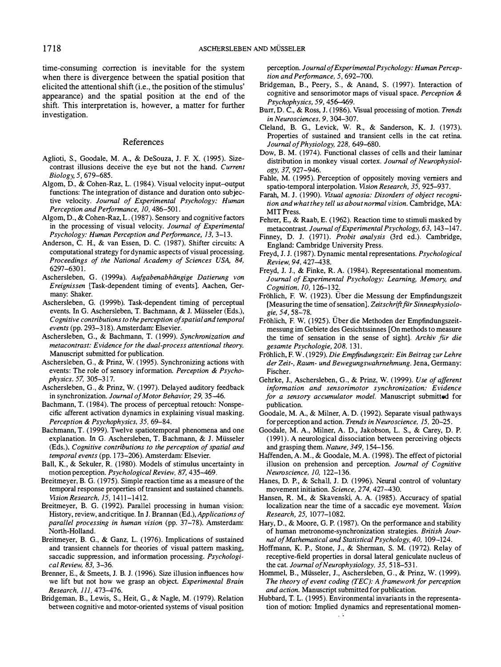time-consuming correction is inevitable for the system when there is divergence between the spatial position that elicited the attentional shift (i.e., the position of the stimulus' appearance) and the spatial position at the end of the shift. This interpretation is, however, a matter for further investigation.

## References

- Aglioti, S., Goodale, M. A., & DeSouza, J. F. X. (1995). Sizecontrast illusions deceive the eye but not the hand. Current Biology, 5, 679-685.
- Algom, D., & Cohen-Raz, L. (1984). Visual velocity input-output functions: The integration of distance and duration onto subjective velocity. Journal of Experimental Psychology: Human Perception and Performance, 10, 486-501.
- Algom, D., & Cohen-Raz, L. (1987). Sensory and cognitive factors in the processing of visual velocity. Journal of Experimental Psychology: Human Perception and Performance, 13, 3-13.
- Anderson, C. H., & van Essen, D. C. (1987). Shifter circuits: A computational strategy for dynamic aspects of visual processing. Proceedings of the National Academy of Sciences USA, 84, 6297-6301.
- Aschersleben, G. (1999a). Aufgabenabhängige Datierung von Ereignissen [Task-dependent timing of events). Aachen, Germany: Shaker.
- Aschersleben, G. (1999b). Task-dependent timing of perceptual events. In G. Aschersleben, T. Bachmann, & J. Miisseler (Eds.), Cognitive contributions to the perception of spatial and temporal events (pp. 293-318). Amsterdam: Elsevier.
- Aschersleben, G., & Bachmann, T. (1999). Synchronization and metacontrast: Evidence for the dual-process attentional theory. Manuscript submitted for publication.
- Aschersleben, G., & Prinz, W. ( 1995). Synchronizing actions with events: The role of sensory information. Perception & Psychophysics, 57, 305–317.
- Aschersleben, G., & Prinz, W. (1997). Delayed auditory feedback in synchronization. Journal of Motor Behavior, 29, 35-46.
- Bachmann, T. (1984). The process of perceptual retouch: Nonspecific afferent activation dynamics in explaining visual masking. Perception & Psychophysics, 35, 69-84.
- Bachmann, T. (1999). Twelve spatiotemporal phenomena and one explanation. In G. Aschersleben, T. Bachmann, & J. Miisseler (Eds.), Cognitive contributions to the perception of spatial and temporal events (pp. 173-206). Amsterdam: Elsevier.
- Ball, K., & Sekuler, R. (1980). Models of stimulus uncertainty in motion perception. Psychological Review, 87, 435-469.
- Breitmeyer, B. G. ( 1975). Simple reaction time as a measure of the temporal response properties of transient and sustained channels. Vision Research, 15, 1411-1412.
- Breitmeyer, B. G. (1992). Parallel processing in human vision: History, review, and critique. In J. Brannan (Ed.), Applications of parallel processing in human vision (pp. 37-78). Amsterdam: North-Holland.
- Breitmeyer, B. G., & Ganz, L. ( 1976). Implications of sustained and transient channels for theories of visual pattern masking, saccadic suppression, and information processing. Psychological Review, 83, 3-36.
- Brenner, E., & Smeets, J. B. J. ( 1996). Size illusion influences how we lift but not how we grasp an object. Experimental Brain Research, 111, 473-476.
- Bridgeman, B., Lewis, S., Heit, G., & Nagle, M. ( 1979). Relation between cognitive and motor-oriented systems of visual position

perception. Journal of Experimental Psychology: Human Perception and Performance, 5, 692-700.

- Bridgeman, B., Peery, S., & Anand, S. (1997). Interaction of cognitive and sensorimotor maps of visual space. Perception & Psychophysics, 59, 456-469.
- Burr, D. C., & Ross, J. (1986). Visual processing of motion. Trends in Neurosciences, 9, 304-307.
- Cleland, B. G., Levick, W. R., & Sanderson, K. J. (1973). Properties of sustained and transient cells in the cat retina. Journal of Physiology, 228, 649-680.
- Dow, B. M. ( 1974). Functional classes of cells and their laminar distribution in monkey visual cortex. Journal of Neurophysiology, 37, 927-946.
- Fable, M. (1995). Perception of oppositely moving verniers and spatio-temporal interpolation. Vision Research, 35, 925-937.
- Farah, M. J. (1990). VISual agnosia: Disorders of object recognition and what they tell us about normal vision. Cambridge, MA: MIT Press.
- Fehrer, E., & Raab, E. ( 1962). Reaction time to stimuli masked by metacontrast. Journal of Experimental Psychology, 63, 143-147.
- Finney, D. J. (1971). Probit analysis (3rd ed.). Cambridge, England: Cambridge University Press.
- Freyd, 1. 1. (1987). Dynamic mental representations. Psychological Review, 94, 427-438.
- Freyd, J. 1., & Finke, R. A. (1984). Representational momentum. Journal of Experimental Psychology: Learning, Memory, and Cognition, 10, 126-132
- Frohlich, F. W. (1923). Uber die Messung der Empfindungszeit [Measuring the time of sensation]. Zeitschrift für Sinnesphysiologie, 54, 58-78.
- Frohlich, F. W. (1925). Uber die Methoden der Empfindungszeitmessung im Gebiete des Gesichtssinnes [On methods to measure the time of sensation in the sense of sight]. Archiv für die gesamte Psychologie, 208, 131.
- Frohlich, F. W. (1929). Die Empfindungszeit: Ein Beitrag zur Lehre der Zeit-, Raum- und Bewegungswahmehmung. Jena, Germany: Fischer.
- Gehrke, J., Aschersleben, G., & Prinz, W. ( 1999). Use of afferent information and sensorimotor synchronization: Evidence for a sensory accumulator model. Manuscript submitted for publication.
- Goodale, M. A., & Milner, A. D. (1992). Separate visual pathways for perception and action. Trends in Neuroscience, 15, 20-25.
- Goodale, M. A., Milner, A. D., Jakobson, L. S., & Carey, D. P. ( 1991). A neurological dissociation between perceiving objects and grasping them. Nature, 349, 154-156.
- Haffenden, A. M., & Goodale, M. A. (1998). The effect of pictorial illusion on prehension and perception. Journal of Cognitive Neuroscience. 10. 122-1 36.
- Hanes, D. P., & Schall, J. D. ( 1996). Neural control of voluntary movement initiation. Science, 274, 427-430.
- Hansen, R. M., & Skavenski, A. A. (1985). Accuracy of spatial localization near the time of a saccadic eye movement. Vision Research, 25, 1077-1082.
- Hary, D., & Moore, G. P. ( 1987). On the performance and stability of human metronome-synchronization strategies. British Journal of Mathematical and Statistical Psychology, 40, 109-124.
- Hoffmann, K. P., Stone, 1., & Sherman, S. M. (1972). Relay of receptive-field properties in dorsal lateral geniculate nucleus of the cat. Journal of Neurophysiology, 35, 518-531.
- Hommel, B., Miisseler, J., Aschersleben, G., & Prinz, W. (1999). The theory of event coding (TEC): A framework for perception and action. Manuscript submitted for publication.
- Hubbard, T. L. (1995). Environmental invariants in the representation of motion: Implied dynamics and representational momen-V.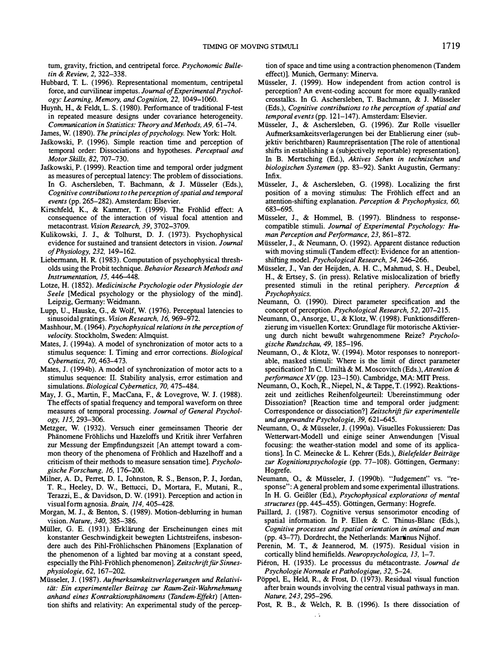tum, gravity, friction, and centripetal force. Psychonomic Bulletin & Review, 2, 322-338.

- Hubbard, T. L. (1996). Representational momentum, centripetal force, and curvilinear impetus. Journal of Experimental Psychology: Learning, Memory, and Cognition, 22, 1049-1060.
- Huynh, H., & Feldt, L. S. (1980). Performance of traditional F-test in repeated measure designs under covariance heterogeneity. Communication in Statistics: Theory and Methods, A9, 61-74.
- James, W. (1890). The principles of psychology. New York: Holt.
- JaSkowski, P. (1996). Simple reaction time and perception of temporal order: Dissociations and hypotheses. Perceptual and Motor Skills, 82, 707-730.
- Jaskowski, P. (1999). Reaction time and temporal order judgment as measures of perceptual latency: The problem of dissociations. In G. Aschersleben, T. Bachmann, & J. Miisseler (Eds.), Cognitive contributions to the perception of spatial and temporal events (pp. 265-282). Amsterdam: Elsevier.
- Kirschfeld, K., & Kammer, T. (1999). The Frohlid effect: A consequence of the interaction of visual focal attention and metacontrast. Vision Research, 39, 3702-3709.
- Kulikowski, J. J., & Tolhurst, D. J. (1973). Psychophysical evidence for sustained and transient detectors in vision. Journal of Physiology, 232, 149-162.
- Liebermann, H. R. (1983). Computation of psychophysical thresholds using the Probit technique. Behavior Research Methods and Instrumentation, 15, 446-448.
- Lotze, H. (1852). Medicinische Psychologie oder Physiologie der Seele [Medical psychology or the physiology of the mind]. Leipzig, Germany: Weidmann.
- Lupp, U., Hauske, G., & Wolf, W. (1976). Perceptual latencies to sinusoidal gratings. Vision Research, 16, 969-972.
- Mashhour, M. (1964). Psychophysical relations in the perception of velocity. Stockholm, Sweden: Almquist.
- Mates, J. (1994a). A model of synchronization of motor acts to a stimulus sequence: I. Timing and error corrections. Biological Cybernetics, 70, 463-473.
- Mates, J. (1994b). A model of synchronization of motor acts to a stimulus sequence: II. Stability analysis, error estimation and simulations. Biological Cybernetics, 70, 475-484.
- May, J. G., Martin, F., MacCana, F., & Lovegrove, W. J. (1988). The effects of spatial frequency and temporal waveform on three measures of temporal processing. Journal of General Psychology, 115, 293-306.
- Metzger, W. (1932). Versuch einer gemeinsamen Theorie der Phanomene Frohlichs und Hazeloffs und Kritik ihrer Verfahren zur Messung der Empfindungszeit [An attempt toward a common theory of the phenomena of Frohlich and Hazelhoff and a criticism of their methods to measure sensation time]. Psychologische Forschung, 16, 176–200.
- Milner, A. D., Perret, D. I., Johnston, R. S., Benson, P. J., Jordan, T. R., Heeley, D. W., Bettucci, D., Mortara, F., Mutani, R., Terazzi, E., & Davidson, D. W. (1991). Perception and action in visual form agnosia. Brain, 114, 405-428.
- Morgan, M. J., & Benton, S. (1989). Motion-deblurring in human vision. Nature, 340, 385-386.
- Müller, G. E. (1931). Erklärung der Erscheinungen eines mit konstanter Geschwindigkeit bewegten Lichtstreifens, insbesondere auch des Pihl-Frohlichschen Phanomens [Explanation of the phenomenon of a lighted bar moving at a constant speed, especially the Pihl-Fröhlich phenomenon]. Zeitschrift für Sinnesphysiologie, 62, 167-202.
- Miisseler, J. (1987). Aufmerksamkeitsverlagerungen und Relativitat: Ein experimenteller Beitrag zur Raum-Zeit-Wahrnehmung anhand eines Kontraktionsphänomens (Tandem-Effekt) [Attention shifts and relativity: An experimental study of the percep-

tion of space and time using a contraction phenomenon (Tandem effect)]. Munich, Germany: Minerva.

- Miisseler, J. (1999). How independent from action control is perception? An event-coding account for more equally-ranked crosstalks. In G. Aschersleben, T. Bachmann, & J. Miisseler (Eds.), Cognitive contributions to the perception of spatial and temporal events (pp. 121-147). Amsterdam: Elsevier.
- Miisseler, J., & Aschersleben, G. (1996). Zur Rolle visueller Aufrnerksarnkeitsverlagerungen bei der Etablierung einer (subjektiv berichtbaren) Raumrepräsentation [The role of attentional shifts in establishing a (subjectively reportable) representation]. In B. Mertsching (Ed.), Aktives Sehen in technischen und biologischen Systemen (pp. 83-92). Sankt Augustin, Germany: Infix.
- Miisseler, J., & Aschersleben, G. (1998). Localizing the first position of a moving stimulus: The Frohlich effect and an attention-shifting explanation. Perception & Psychophysics, 60, 683-695.
- Miisseler, J., & Hommel, B. (1997). Blindness to responsecompatible stimuli. Journal of Experimental Psychology: Human Perception and Performance, 23, 861-872.
- Miisseler, J., & Neumann, O. (1992). Apparent distance reduction with moving stimuli (Tandem effect): Evidence for an attentionshifting model. Psychological Research, 54, 246-266.
- Miisseler, J., Van der Heijden, A. H. c., Mahrnud, S. H., Deubel, H., & Ertsey, S. (in press). Relative mislocalization of briefly presented stimuli in the retinal periphery. Perception & Psychophysics.
- Neumann, O. (1990). Direct parameter specification and the concept of perception. Psychological Research, 52, 207-215.
- Neumann, 0., Ansorge, D., & Klotz, W. (1998). Funktionsdifferenzierung im visuellen Kortex: Grundlage für motorische Aktivierung durch nicht bewuBt wahrgenommene Reize? Psychologische Rundschau, 49, 185-196.
- Neumann, 0., & Klotz, W. (1994). Motor responses to nonreportable, masked stimuli: Where is the limit of direct parameter specification? In C. Umiltà & M. Moscovitch (Eds.), Attention & performance XV (pp. 123-150). Cambridge, MA: MIT Press.
- Neumann, O., Koch, R., Niepel, N., & Tappe, T. (1992). Reaktionszeit und zeitliches Reihenfolgeurteil: Ubereinstimmung oder Dissoziation? [Reaction time and temporal order judgment: Correspondence or dissociation?] Zeitschrift für experimentelle und angewandte Psychologie, 39, 621-645.
- Neumann, 0., & Miisseler, J. (1990a). Visuelles Fokussieren: Das Wetterwart-Modell und einige seiner Anwendungen [Visual focusing: the weather-station model and some of its applications]. In C. Meinecke & L. Kehrer (Eds.), Bielefelder Beiträge zur Kognitionspsychologie (pp. 77-108). Göttingen, Germany: Hogrefe.
- Neumann, 0., & Miisseler, J. (1990b). "Judgement" vs. "response": A general problem and some experimental illustrations. In H. G. GeiBler (Ed.), Psychophysical explorations of mental structures (pp. 445–455). Göttingen, Germany: Hogrefe.
- Paillard, J. (1987). Cognitive versus sensorimotor encoding of spatial information. In P. Ellen & C. Thinus-Blanc (Eds.), Cognitive processes and spatial orientation in animal and man (pp. 43-77). Dordrecht, the Netherlands: Martinus Nijhof.
- Perenin, M. T., & Jeannerod, M. (1975). Residual vision in cortically blind hemifields. Neuropsychologica, 13, 1-7.
- Piéron, H. (1935). Le processus du métacontraste. Journal de Psychologie Nonnale et Pathologique, 32, 5-24.
- Pöppel, E., Held, R., & Frost, D. (1973). Residual visual function after brain wounds involving the central visual pathways in man. Nature, 243, 295-296.
- Post, R. B., & Welch, R. B. (1996). Is there dissociation of  $\sim$   $\epsilon$